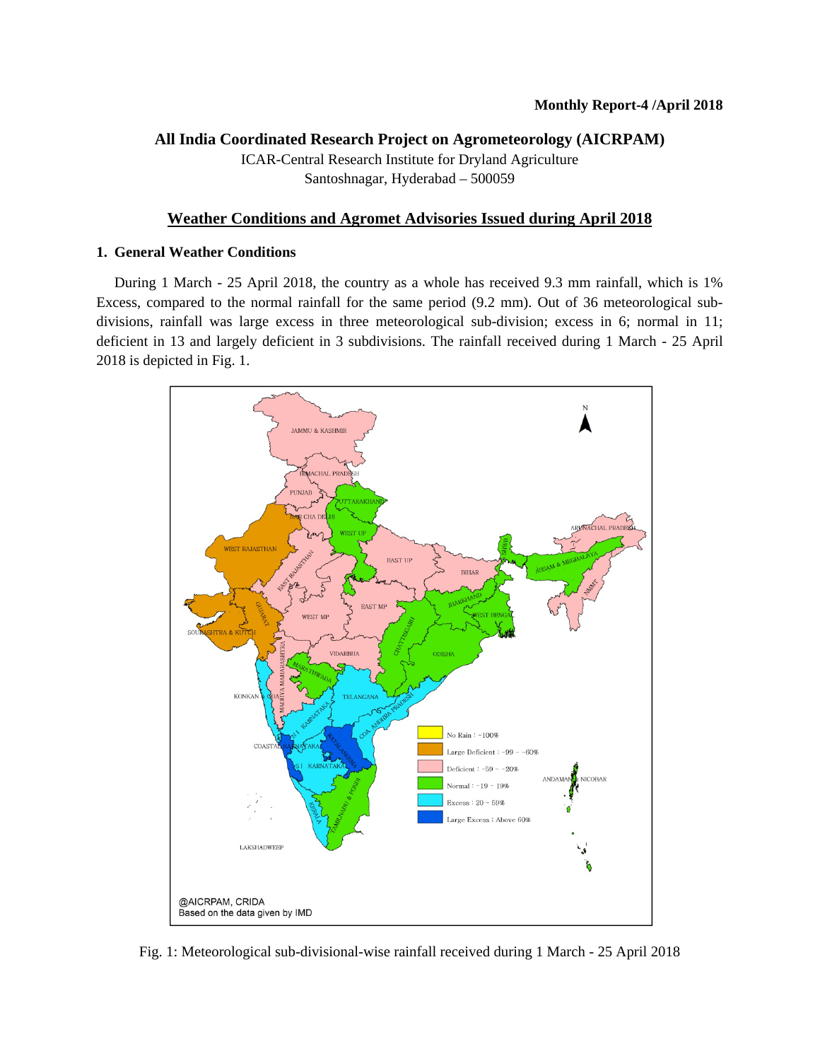## **All India Coordinated Research Project on Agrometeorology (AICRPAM)**

ICAR-Central Research Institute for Dryland Agriculture Santoshnagar, Hyderabad – 500059

## **Weather Conditions and Agromet Advisories Issued during April 2018**

## **1. General Weather Conditions**

 During 1 March - 25 April 2018, the country as a whole has received 9.3 mm rainfall, which is 1% Excess, compared to the normal rainfall for the same period (9.2 mm). Out of 36 meteorological subdivisions, rainfall was large excess in three meteorological sub-division; excess in 6; normal in 11; deficient in 13 and largely deficient in 3 subdivisions. The rainfall received during 1 March - 25 April 2018 is depicted in Fig. 1.



Fig. 1: Meteorological sub-divisional-wise rainfall received during 1 March - 25 April 2018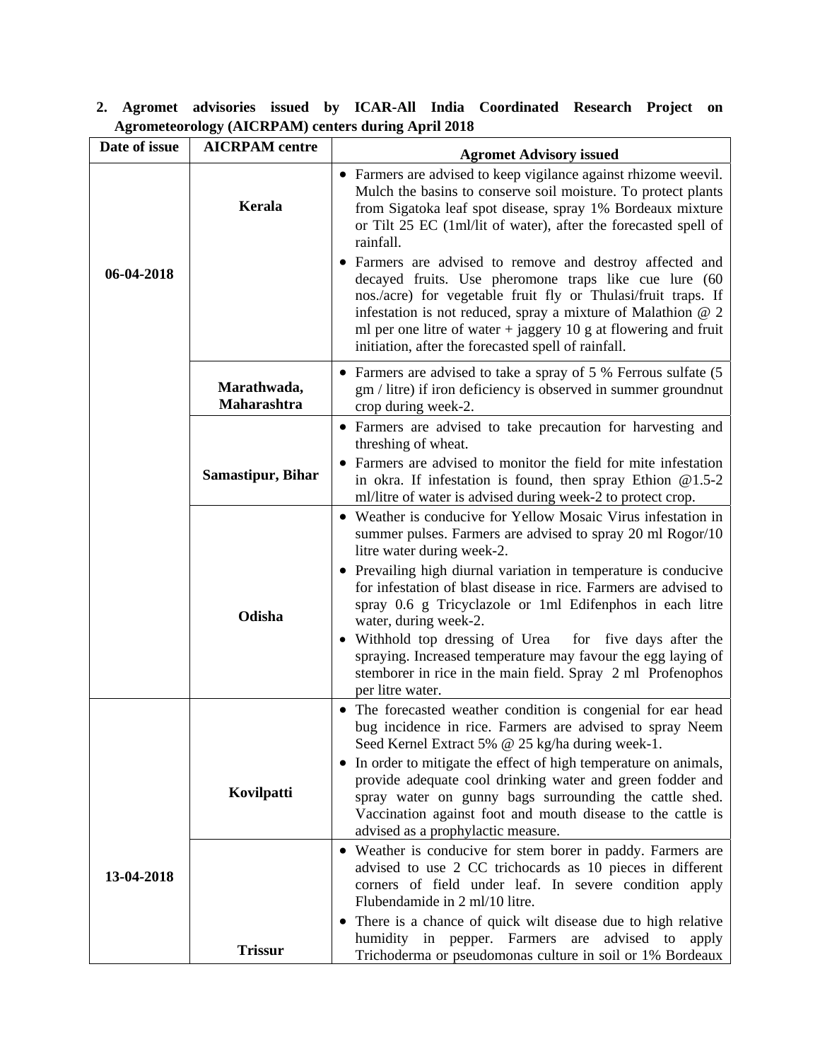| Date of issue | <b>AICRPAM</b> centre      | <b>Agromet Advisory issued</b>                                                                                                                                                                                                                                                                                                                                                                                                                                                                                                                                                                                                                                   |
|---------------|----------------------------|------------------------------------------------------------------------------------------------------------------------------------------------------------------------------------------------------------------------------------------------------------------------------------------------------------------------------------------------------------------------------------------------------------------------------------------------------------------------------------------------------------------------------------------------------------------------------------------------------------------------------------------------------------------|
| 06-04-2018    | Kerala                     | • Farmers are advised to keep vigilance against rhizome weevil.<br>Mulch the basins to conserve soil moisture. To protect plants<br>from Sigatoka leaf spot disease, spray 1% Bordeaux mixture<br>or Tilt 25 EC (1ml/lit of water), after the forecasted spell of<br>rainfall.<br>Farmers are advised to remove and destroy affected and<br>decayed fruits. Use pheromone traps like cue lure (60<br>nos./acre) for vegetable fruit fly or Thulasi/fruit traps. If<br>infestation is not reduced, spray a mixture of Malathion $@$ 2<br>ml per one litre of water $+$ jaggery 10 g at flowering and fruit<br>initiation, after the forecasted spell of rainfall. |
|               | Marathwada,<br>Maharashtra | • Farmers are advised to take a spray of 5 % Ferrous sulfate (5<br>gm / litre) if iron deficiency is observed in summer groundnut<br>crop during week-2.                                                                                                                                                                                                                                                                                                                                                                                                                                                                                                         |
|               |                            | • Farmers are advised to take precaution for harvesting and<br>threshing of wheat.<br>Farmers are advised to monitor the field for mite infestation                                                                                                                                                                                                                                                                                                                                                                                                                                                                                                              |
|               | <b>Samastipur, Bihar</b>   | in okra. If infestation is found, then spray Ethion $@1.5-2$<br>ml/litre of water is advised during week-2 to protect crop.                                                                                                                                                                                                                                                                                                                                                                                                                                                                                                                                      |
|               |                            | • Weather is conducive for Yellow Mosaic Virus infestation in<br>summer pulses. Farmers are advised to spray 20 ml Rogor/10<br>litre water during week-2.                                                                                                                                                                                                                                                                                                                                                                                                                                                                                                        |
|               | Odisha                     | • Prevailing high diurnal variation in temperature is conducive<br>for infestation of blast disease in rice. Farmers are advised to<br>spray 0.6 g Tricyclazole or 1ml Edifenphos in each litre<br>water, during week-2.                                                                                                                                                                                                                                                                                                                                                                                                                                         |
|               |                            | Withhold top dressing of Urea<br>for five days after the<br>spraying. Increased temperature may favour the egg laying of<br>stemborer in rice in the main field. Spray 2 ml Profenophos<br>per litre water.                                                                                                                                                                                                                                                                                                                                                                                                                                                      |
|               |                            | • The forecasted weather condition is congenial for ear head<br>bug incidence in rice. Farmers are advised to spray Neem<br>Seed Kernel Extract 5% @ 25 kg/ha during week-1.                                                                                                                                                                                                                                                                                                                                                                                                                                                                                     |
|               | Kovilpatti                 | • In order to mitigate the effect of high temperature on animals,<br>provide adequate cool drinking water and green fodder and<br>spray water on gunny bags surrounding the cattle shed.<br>Vaccination against foot and mouth disease to the cattle is<br>advised as a prophylactic measure.                                                                                                                                                                                                                                                                                                                                                                    |
| 13-04-2018    |                            | • Weather is conducive for stem borer in paddy. Farmers are<br>advised to use 2 CC trichocards as 10 pieces in different<br>corners of field under leaf. In severe condition apply<br>Flubendamide in 2 ml/10 litre.                                                                                                                                                                                                                                                                                                                                                                                                                                             |
|               | <b>Trissur</b>             | There is a chance of quick wilt disease due to high relative<br>$\bullet$<br>humidity in pepper. Farmers are advised to<br>apply<br>Trichoderma or pseudomonas culture in soil or 1% Bordeaux                                                                                                                                                                                                                                                                                                                                                                                                                                                                    |

**2. Agromet advisories issued by ICAR-All India Coordinated Research Project on Agrometeorology (AICRPAM) centers during April 2018**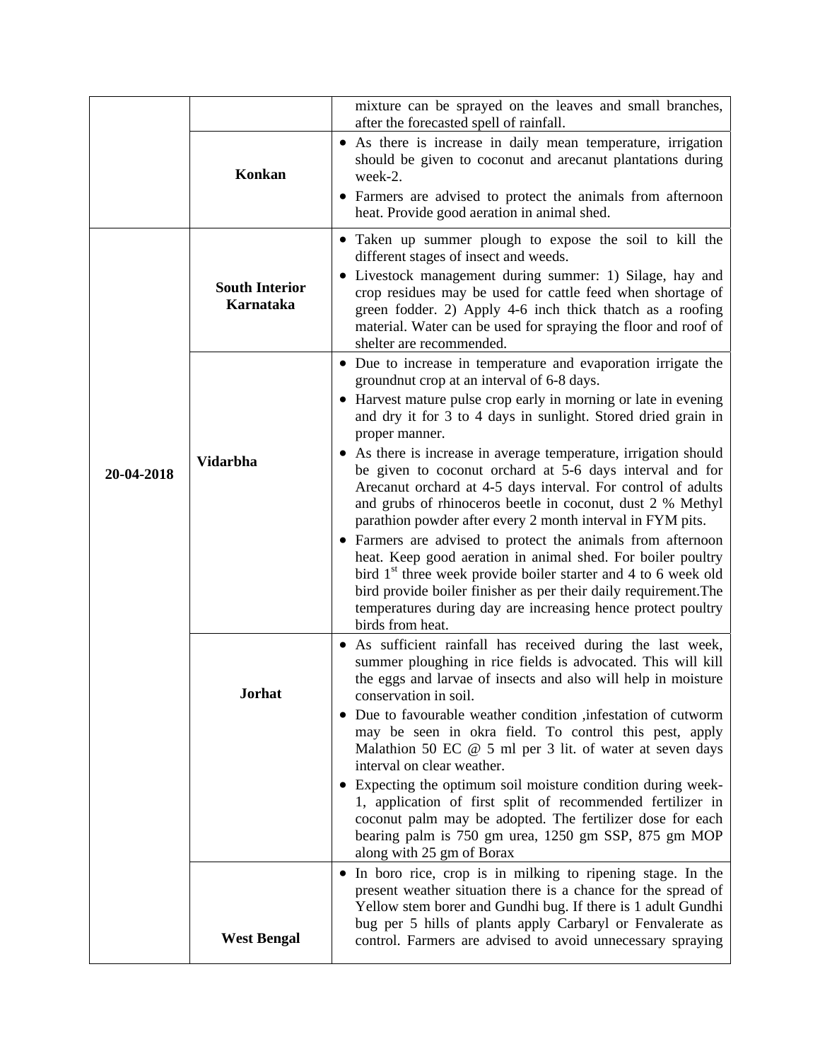|            |                                           | mixture can be sprayed on the leaves and small branches,<br>after the forecasted spell of rainfall.                                                                                                                                                                                                                                                                                                                                                                                                                                                                                                                                                                                                                                                                                                                                                                                                                                                              |
|------------|-------------------------------------------|------------------------------------------------------------------------------------------------------------------------------------------------------------------------------------------------------------------------------------------------------------------------------------------------------------------------------------------------------------------------------------------------------------------------------------------------------------------------------------------------------------------------------------------------------------------------------------------------------------------------------------------------------------------------------------------------------------------------------------------------------------------------------------------------------------------------------------------------------------------------------------------------------------------------------------------------------------------|
|            | Konkan                                    | • As there is increase in daily mean temperature, irrigation<br>should be given to coconut and arecanut plantations during<br>week-2.<br>• Farmers are advised to protect the animals from afternoon<br>heat. Provide good aeration in animal shed.                                                                                                                                                                                                                                                                                                                                                                                                                                                                                                                                                                                                                                                                                                              |
|            | <b>South Interior</b><br><b>Karnataka</b> | • Taken up summer plough to expose the soil to kill the<br>different stages of insect and weeds.<br>· Livestock management during summer: 1) Silage, hay and<br>crop residues may be used for cattle feed when shortage of<br>green fodder. 2) Apply 4-6 inch thick thatch as a roofing<br>material. Water can be used for spraying the floor and roof of<br>shelter are recommended.                                                                                                                                                                                                                                                                                                                                                                                                                                                                                                                                                                            |
| 20-04-2018 | <b>Vidarbha</b>                           | • Due to increase in temperature and evaporation irrigate the<br>ground nut crop at an interval of 6-8 days.<br>• Harvest mature pulse crop early in morning or late in evening<br>and dry it for 3 to 4 days in sunlight. Stored dried grain in<br>proper manner.<br>As there is increase in average temperature, irrigation should<br>be given to coconut orchard at 5-6 days interval and for<br>Arecanut orchard at 4-5 days interval. For control of adults<br>and grubs of rhinoceros beetle in coconut, dust 2 % Methyl<br>parathion powder after every 2 month interval in FYM pits.<br>• Farmers are advised to protect the animals from afternoon<br>heat. Keep good aeration in animal shed. For boiler poultry<br>bird 1 <sup>st</sup> three week provide boiler starter and 4 to 6 week old<br>bird provide boiler finisher as per their daily requirement. The<br>temperatures during day are increasing hence protect poultry<br>birds from heat. |
|            | Jorhat                                    | As sufficient rainfall has received during the last week,<br>$\bullet$<br>summer ploughing in rice fields is advocated. This will kill<br>the eggs and larvae of insects and also will help in moisture<br>conservation in soil.<br>• Due to favourable weather condition , infestation of cutworm<br>may be seen in okra field. To control this pest, apply<br>Malathion 50 EC $@$ 5 ml per 3 lit. of water at seven days<br>interval on clear weather.<br>Expecting the optimum soil moisture condition during week-<br>٠<br>1, application of first split of recommended fertilizer in<br>coconut palm may be adopted. The fertilizer dose for each<br>bearing palm is 750 gm urea, 1250 gm SSP, 875 gm MOP<br>along with 25 gm of Borax<br>In boro rice, crop is in milking to ripening stage. In the<br>$\bullet$                                                                                                                                           |
|            | <b>West Bengal</b>                        | present weather situation there is a chance for the spread of<br>Yellow stem borer and Gundhi bug. If there is 1 adult Gundhi<br>bug per 5 hills of plants apply Carbaryl or Fenvalerate as<br>control. Farmers are advised to avoid unnecessary spraying                                                                                                                                                                                                                                                                                                                                                                                                                                                                                                                                                                                                                                                                                                        |